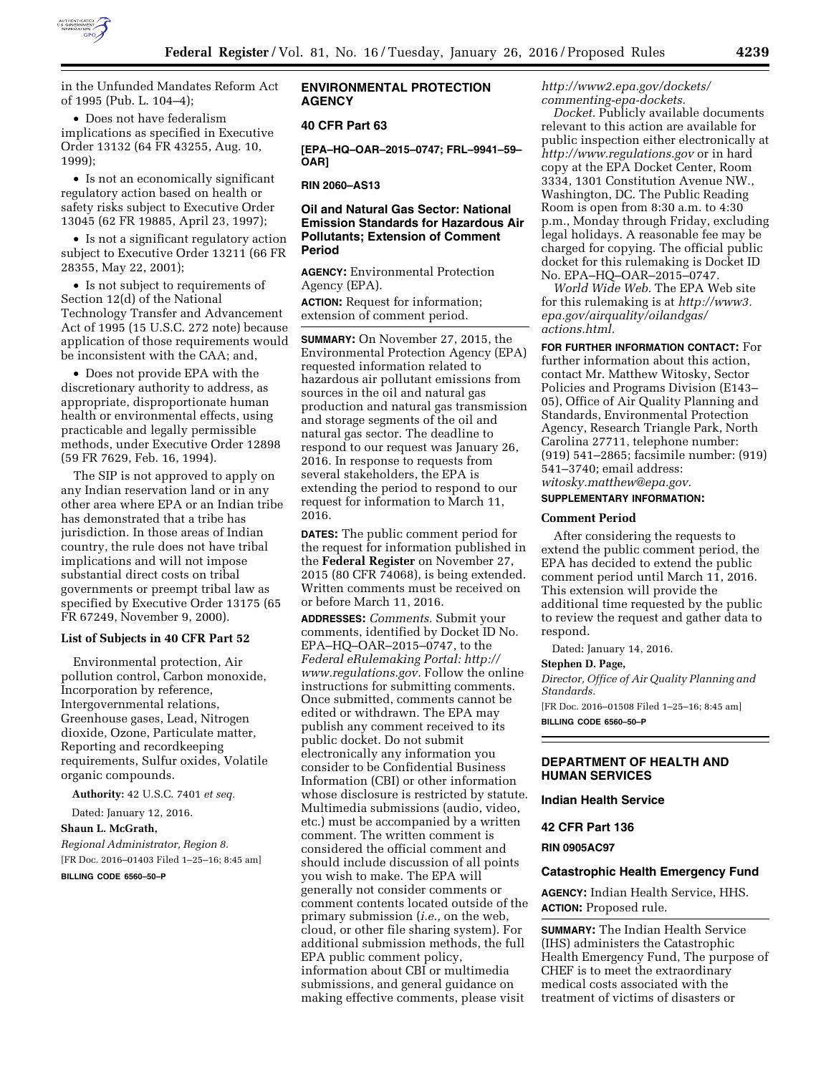

in the Unfunded Mandates Reform Act of 1995 (Pub. L. 104–4);

• Does not have federalism implications as specified in Executive Order 13132 (64 FR 43255, Aug. 10, 1999);

• Is not an economically significant regulatory action based on health or safety risks subject to Executive Order 13045 (62 FR 19885, April 23, 1997);

• Is not a significant regulatory action subject to Executive Order 13211 (66 FR 28355, May 22, 2001);

• Is not subject to requirements of Section 12(d) of the National Technology Transfer and Advancement Act of 1995 (15 U.S.C. 272 note) because application of those requirements would be inconsistent with the CAA; and,

• Does not provide EPA with the discretionary authority to address, as appropriate, disproportionate human health or environmental effects, using practicable and legally permissible methods, under Executive Order 12898 (59 FR 7629, Feb. 16, 1994).

The SIP is not approved to apply on any Indian reservation land or in any other area where EPA or an Indian tribe has demonstrated that a tribe has jurisdiction. In those areas of Indian country, the rule does not have tribal implications and will not impose substantial direct costs on tribal governments or preempt tribal law as specified by Executive Order 13175 (65 FR 67249, November 9, 2000).

# **List of Subjects in 40 CFR Part 52**

Environmental protection, Air pollution control, Carbon monoxide, Incorporation by reference, Intergovernmental relations, Greenhouse gases, Lead, Nitrogen dioxide, Ozone, Particulate matter, Reporting and recordkeeping requirements, Sulfur oxides, Volatile organic compounds.

**Authority:** 42 U.S.C. 7401 *et seq.* 

Dated: January 12, 2016.

# **Shaun L. McGrath,**

*Regional Administrator, Region 8.*  [FR Doc. 2016–01403 Filed 1–25–16; 8:45 am]

**BILLING CODE 6560–50–P** 

# **ENVIRONMENTAL PROTECTION AGENCY**

## **40 CFR Part 63**

**[EPA–HQ–OAR–2015–0747; FRL–9941–59– OAR]** 

**RIN 2060–AS13** 

# **Oil and Natural Gas Sector: National Emission Standards for Hazardous Air Pollutants; Extension of Comment Period**

**AGENCY:** Environmental Protection Agency (EPA).

**ACTION:** Request for information; extension of comment period.

**SUMMARY:** On November 27, 2015, the Environmental Protection Agency (EPA) requested information related to hazardous air pollutant emissions from sources in the oil and natural gas production and natural gas transmission and storage segments of the oil and natural gas sector. The deadline to respond to our request was January 26, 2016. In response to requests from several stakeholders, the EPA is extending the period to respond to our request for information to March 11, 2016.

**DATES:** The public comment period for the request for information published in the **Federal Register** on November 27, 2015 (80 CFR 74068), is being extended. Written comments must be received on or before March 11, 2016.

**ADDRESSES:** *Comments.* Submit your comments, identified by Docket ID No. EPA–HQ–OAR–2015–0747, to the *Federal eRulemaking Portal: [http://](http://www.regulations.gov) [www.regulations.gov.](http://www.regulations.gov)* Follow the online instructions for submitting comments. Once submitted, comments cannot be edited or withdrawn. The EPA may publish any comment received to its public docket. Do not submit electronically any information you consider to be Confidential Business Information (CBI) or other information whose disclosure is restricted by statute. Multimedia submissions (audio, video, etc.) must be accompanied by a written comment. The written comment is considered the official comment and should include discussion of all points you wish to make. The EPA will generally not consider comments or comment contents located outside of the primary submission (*i.e.,* on the web, cloud, or other file sharing system). For additional submission methods, the full EPA public comment policy, information about CBI or multimedia submissions, and general guidance on making effective comments, please visit

*[http://www2.epa.gov/dockets/](http://www2.epa.gov/dockets/commenting-epa-dockets) [commenting-epa-dockets.](http://www2.epa.gov/dockets/commenting-epa-dockets)* 

*Docket.* Publicly available documents relevant to this action are available for public inspection either electronically at *<http://www.regulations.gov>* or in hard copy at the EPA Docket Center, Room 3334, 1301 Constitution Avenue NW., Washington, DC. The Public Reading Room is open from 8:30 a.m. to 4:30 p.m., Monday through Friday, excluding legal holidays. A reasonable fee may be charged for copying. The official public docket for this rulemaking is Docket ID No. EPA–HQ–OAR–2015–0747.

*World Wide Web.* The EPA Web site for this rulemaking is at *[http://www3.](http://www3.epa.gov/airquality/oilandgas/actions.html) [epa.gov/airquality/oilandgas/](http://www3.epa.gov/airquality/oilandgas/actions.html) [actions.html.](http://www3.epa.gov/airquality/oilandgas/actions.html)* 

**FOR FURTHER INFORMATION CONTACT:** For further information about this action, contact Mr. Matthew Witosky, Sector Policies and Programs Division (E143– 05), Office of Air Quality Planning and Standards, Environmental Protection Agency, Research Triangle Park, North Carolina 27711, telephone number: (919) 541–2865; facsimile number: (919) 541–3740; email address: *[witosky.matthew@epa.gov.](mailto:witosky.matthew@epa.gov)* 

#### **SUPPLEMENTARY INFORMATION:**

#### **Comment Period**

After considering the requests to extend the public comment period, the EPA has decided to extend the public comment period until March 11, 2016. This extension will provide the additional time requested by the public to review the request and gather data to respond.

Dated: January 14, 2016.

## **Stephen D. Page,**

*Director, Office of Air Quality Planning and Standards.* 

[FR Doc. 2016–01508 Filed 1–25–16; 8:45 am] **BILLING CODE 6560–50–P** 

## **DEPARTMENT OF HEALTH AND HUMAN SERVICES**

### **Indian Health Service**

# **42 CFR Part 136**

**RIN 0905AC97** 

#### **Catastrophic Health Emergency Fund**

**AGENCY:** Indian Health Service, HHS. **ACTION:** Proposed rule.

**SUMMARY:** The Indian Health Service (IHS) administers the Catastrophic Health Emergency Fund, The purpose of CHEF is to meet the extraordinary medical costs associated with the treatment of victims of disasters or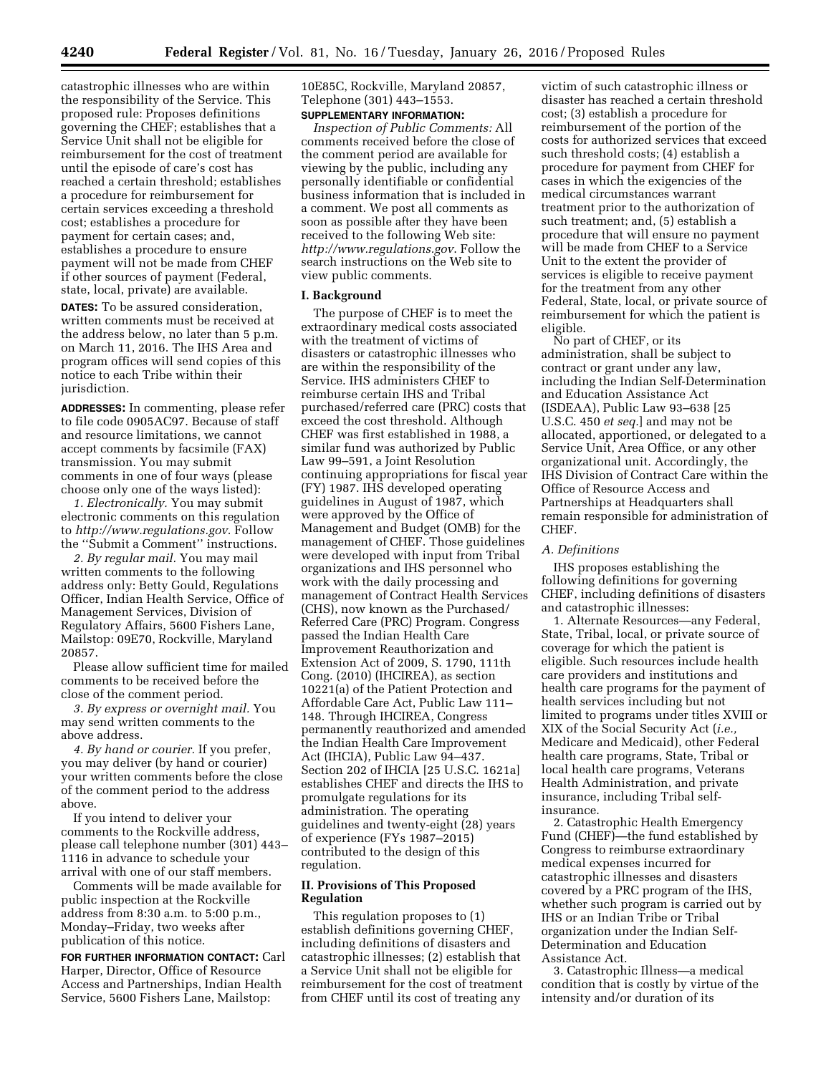catastrophic illnesses who are within the responsibility of the Service. This proposed rule: Proposes definitions governing the CHEF; establishes that a Service Unit shall not be eligible for reimbursement for the cost of treatment until the episode of care's cost has reached a certain threshold; establishes a procedure for reimbursement for certain services exceeding a threshold cost; establishes a procedure for payment for certain cases; and, establishes a procedure to ensure payment will not be made from CHEF if other sources of payment (Federal, state, local, private) are available.

**DATES:** To be assured consideration, written comments must be received at the address below, no later than 5 p.m. on March 11, 2016. The IHS Area and program offices will send copies of this notice to each Tribe within their jurisdiction.

**ADDRESSES:** In commenting, please refer to file code 0905AC97. Because of staff and resource limitations, we cannot accept comments by facsimile (FAX) transmission. You may submit comments in one of four ways (please choose only one of the ways listed):

*1. Electronically.* You may submit electronic comments on this regulation to *<http://www.regulations.gov>*. Follow the ''Submit a Comment'' instructions.

*2. By regular mail.* You may mail written comments to the following address only: Betty Gould, Regulations Officer, Indian Health Service, Office of Management Services, Division of Regulatory Affairs, 5600 Fishers Lane, Mailstop: 09E70, Rockville, Maryland 20857.

Please allow sufficient time for mailed comments to be received before the close of the comment period.

*3. By express or overnight mail.* You may send written comments to the above address.

*4. By hand or courier.* If you prefer, you may deliver (by hand or courier) your written comments before the close of the comment period to the address above.

If you intend to deliver your comments to the Rockville address, please call telephone number (301) 443– 1116 in advance to schedule your arrival with one of our staff members.

Comments will be made available for public inspection at the Rockville address from 8:30 a.m. to 5:00 p.m., Monday–Friday, two weeks after publication of this notice.

**FOR FURTHER INFORMATION CONTACT:** Carl Harper, Director, Office of Resource Access and Partnerships, Indian Health Service, 5600 Fishers Lane, Mailstop:

10E85C, Rockville, Maryland 20857, Telephone (301) 443–1553. **SUPPLEMENTARY INFORMATION:** 

*Inspection of Public Comments:* All comments received before the close of the comment period are available for viewing by the public, including any personally identifiable or confidential business information that is included in a comment. We post all comments as soon as possible after they have been received to the following Web site: *<http://www.regulations.gov>*. Follow the search instructions on the Web site to view public comments.

### **I. Background**

The purpose of CHEF is to meet the extraordinary medical costs associated with the treatment of victims of disasters or catastrophic illnesses who are within the responsibility of the Service. IHS administers CHEF to reimburse certain IHS and Tribal purchased/referred care (PRC) costs that exceed the cost threshold. Although CHEF was first established in 1988, a similar fund was authorized by Public Law 99–591, a Joint Resolution continuing appropriations for fiscal year (FY) 1987. IHS developed operating guidelines in August of 1987, which were approved by the Office of Management and Budget (OMB) for the management of CHEF. Those guidelines were developed with input from Tribal organizations and IHS personnel who work with the daily processing and management of Contract Health Services (CHS), now known as the Purchased/ Referred Care (PRC) Program. Congress passed the Indian Health Care Improvement Reauthorization and Extension Act of 2009, S. 1790, 111th Cong. (2010) (IHCIREA), as section 10221(a) of the Patient Protection and Affordable Care Act, Public Law 111– 148. Through IHCIREA, Congress permanently reauthorized and amended the Indian Health Care Improvement Act (IHCIA), Public Law 94–437. Section 202 of IHCIA [25 U.S.C. 1621a] establishes CHEF and directs the IHS to promulgate regulations for its administration. The operating guidelines and twenty-eight (28) years of experience (FYs 1987–2015) contributed to the design of this regulation.

# **II. Provisions of This Proposed Regulation**

This regulation proposes to (1) establish definitions governing CHEF, including definitions of disasters and catastrophic illnesses; (2) establish that a Service Unit shall not be eligible for reimbursement for the cost of treatment from CHEF until its cost of treating any

victim of such catastrophic illness or disaster has reached a certain threshold cost; (3) establish a procedure for reimbursement of the portion of the costs for authorized services that exceed such threshold costs; (4) establish a procedure for payment from CHEF for cases in which the exigencies of the medical circumstances warrant treatment prior to the authorization of such treatment; and, (5) establish a procedure that will ensure no payment will be made from CHEF to a Service Unit to the extent the provider of services is eligible to receive payment for the treatment from any other Federal, State, local, or private source of reimbursement for which the patient is eligible.

No part of CHEF, or its administration, shall be subject to contract or grant under any law, including the Indian Self-Determination and Education Assistance Act (ISDEAA), Public Law 93–638 [25 U.S.C. 450 *et seq.*] and may not be allocated, apportioned, or delegated to a Service Unit, Area Office, or any other organizational unit. Accordingly, the IHS Division of Contract Care within the Office of Resource Access and Partnerships at Headquarters shall remain responsible for administration of CHEF.

## *A. Definitions*

IHS proposes establishing the following definitions for governing CHEF, including definitions of disasters and catastrophic illnesses:

1. Alternate Resources—any Federal, State, Tribal, local, or private source of coverage for which the patient is eligible. Such resources include health care providers and institutions and health care programs for the payment of health services including but not limited to programs under titles XVIII or XIX of the Social Security Act (*i.e.,*  Medicare and Medicaid), other Federal health care programs, State, Tribal or local health care programs, Veterans Health Administration, and private insurance, including Tribal selfinsurance.

2. Catastrophic Health Emergency Fund (CHEF)—the fund established by Congress to reimburse extraordinary medical expenses incurred for catastrophic illnesses and disasters covered by a PRC program of the IHS, whether such program is carried out by IHS or an Indian Tribe or Tribal organization under the Indian Self-Determination and Education Assistance Act.

3. Catastrophic Illness—a medical condition that is costly by virtue of the intensity and/or duration of its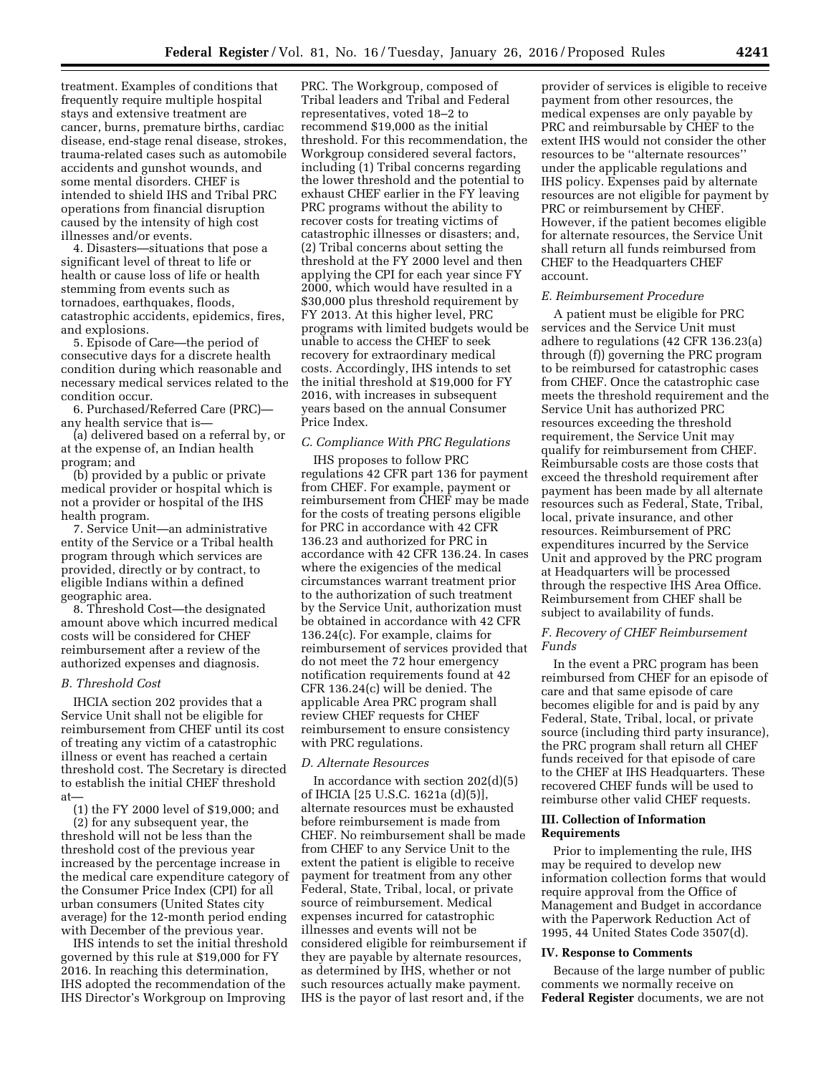treatment. Examples of conditions that frequently require multiple hospital stays and extensive treatment are cancer, burns, premature births, cardiac disease, end-stage renal disease, strokes, trauma-related cases such as automobile accidents and gunshot wounds, and some mental disorders. CHEF is intended to shield IHS and Tribal PRC operations from financial disruption caused by the intensity of high cost illnesses and/or events.

4. Disasters—situations that pose a significant level of threat to life or health or cause loss of life or health stemming from events such as tornadoes, earthquakes, floods, catastrophic accidents, epidemics, fires, and explosions.

5. Episode of Care—the period of consecutive days for a discrete health condition during which reasonable and necessary medical services related to the condition occur.

6. Purchased/Referred Care (PRC) any health service that is—

(a) delivered based on a referral by, or at the expense of, an Indian health program; and

(b) provided by a public or private medical provider or hospital which is not a provider or hospital of the IHS health program.

7. Service Unit—an administrative entity of the Service or a Tribal health program through which services are provided, directly or by contract, to eligible Indians within a defined geographic area.

8. Threshold Cost—the designated amount above which incurred medical costs will be considered for CHEF reimbursement after a review of the authorized expenses and diagnosis.

### *B. Threshold Cost*

IHCIA section 202 provides that a Service Unit shall not be eligible for reimbursement from CHEF until its cost of treating any victim of a catastrophic illness or event has reached a certain threshold cost. The Secretary is directed to establish the initial CHEF threshold at—

(1) the FY 2000 level of \$19,000; and (2) for any subsequent year, the threshold will not be less than the threshold cost of the previous year increased by the percentage increase in the medical care expenditure category of the Consumer Price Index (CPI) for all urban consumers (United States city average) for the 12-month period ending with December of the previous year.

IHS intends to set the initial threshold governed by this rule at \$19,000 for FY 2016. In reaching this determination, IHS adopted the recommendation of the IHS Director's Workgroup on Improving

PRC. The Workgroup, composed of Tribal leaders and Tribal and Federal representatives, voted 18–2 to recommend \$19,000 as the initial threshold. For this recommendation, the Workgroup considered several factors, including (1) Tribal concerns regarding the lower threshold and the potential to exhaust CHEF earlier in the FY leaving PRC programs without the ability to recover costs for treating victims of catastrophic illnesses or disasters; and, (2) Tribal concerns about setting the threshold at the FY 2000 level and then applying the CPI for each year since FY 2000, which would have resulted in a \$30,000 plus threshold requirement by FY 2013. At this higher level, PRC programs with limited budgets would be unable to access the CHEF to seek recovery for extraordinary medical costs. Accordingly, IHS intends to set the initial threshold at \$19,000 for FY 2016, with increases in subsequent years based on the annual Consumer Price Index.

#### *C. Compliance With PRC Regulations*

IHS proposes to follow PRC regulations 42 CFR part 136 for payment from CHEF. For example, payment or reimbursement from CHEF may be made for the costs of treating persons eligible for PRC in accordance with 42 CFR 136.23 and authorized for PRC in accordance with 42 CFR 136.24. In cases where the exigencies of the medical circumstances warrant treatment prior to the authorization of such treatment by the Service Unit, authorization must be obtained in accordance with 42 CFR 136.24(c). For example, claims for reimbursement of services provided that do not meet the 72 hour emergency notification requirements found at 42 CFR 136.24(c) will be denied. The applicable Area PRC program shall review CHEF requests for CHEF reimbursement to ensure consistency with PRC regulations.

### *D. Alternate Resources*

In accordance with section  $202(d)(5)$ of IHCIA [25 U.S.C. 1621a (d)(5)], alternate resources must be exhausted before reimbursement is made from CHEF. No reimbursement shall be made from CHEF to any Service Unit to the extent the patient is eligible to receive payment for treatment from any other Federal, State, Tribal, local, or private source of reimbursement. Medical expenses incurred for catastrophic illnesses and events will not be considered eligible for reimbursement if they are payable by alternate resources, as determined by IHS, whether or not such resources actually make payment. IHS is the payor of last resort and, if the

provider of services is eligible to receive payment from other resources, the medical expenses are only payable by PRC and reimbursable by CHEF to the extent IHS would not consider the other resources to be ''alternate resources'' under the applicable regulations and IHS policy. Expenses paid by alternate resources are not eligible for payment by PRC or reimbursement by CHEF. However, if the patient becomes eligible for alternate resources, the Service Unit shall return all funds reimbursed from CHEF to the Headquarters CHEF account.

#### *E. Reimbursement Procedure*

A patient must be eligible for PRC services and the Service Unit must adhere to regulations (42 CFR 136.23(a) through (f)) governing the PRC program to be reimbursed for catastrophic cases from CHEF. Once the catastrophic case meets the threshold requirement and the Service Unit has authorized PRC resources exceeding the threshold requirement, the Service Unit may qualify for reimbursement from CHEF. Reimbursable costs are those costs that exceed the threshold requirement after payment has been made by all alternate resources such as Federal, State, Tribal, local, private insurance, and other resources. Reimbursement of PRC expenditures incurred by the Service Unit and approved by the PRC program at Headquarters will be processed through the respective IHS Area Office. Reimbursement from CHEF shall be subject to availability of funds.

# *F. Recovery of CHEF Reimbursement Funds*

In the event a PRC program has been reimbursed from CHEF for an episode of care and that same episode of care becomes eligible for and is paid by any Federal, State, Tribal, local, or private source (including third party insurance), the PRC program shall return all CHEF funds received for that episode of care to the CHEF at IHS Headquarters. These recovered CHEF funds will be used to reimburse other valid CHEF requests.

### **III. Collection of Information Requirements**

Prior to implementing the rule, IHS may be required to develop new information collection forms that would require approval from the Office of Management and Budget in accordance with the Paperwork Reduction Act of 1995, 44 United States Code 3507(d).

#### **IV. Response to Comments**

Because of the large number of public comments we normally receive on **Federal Register** documents, we are not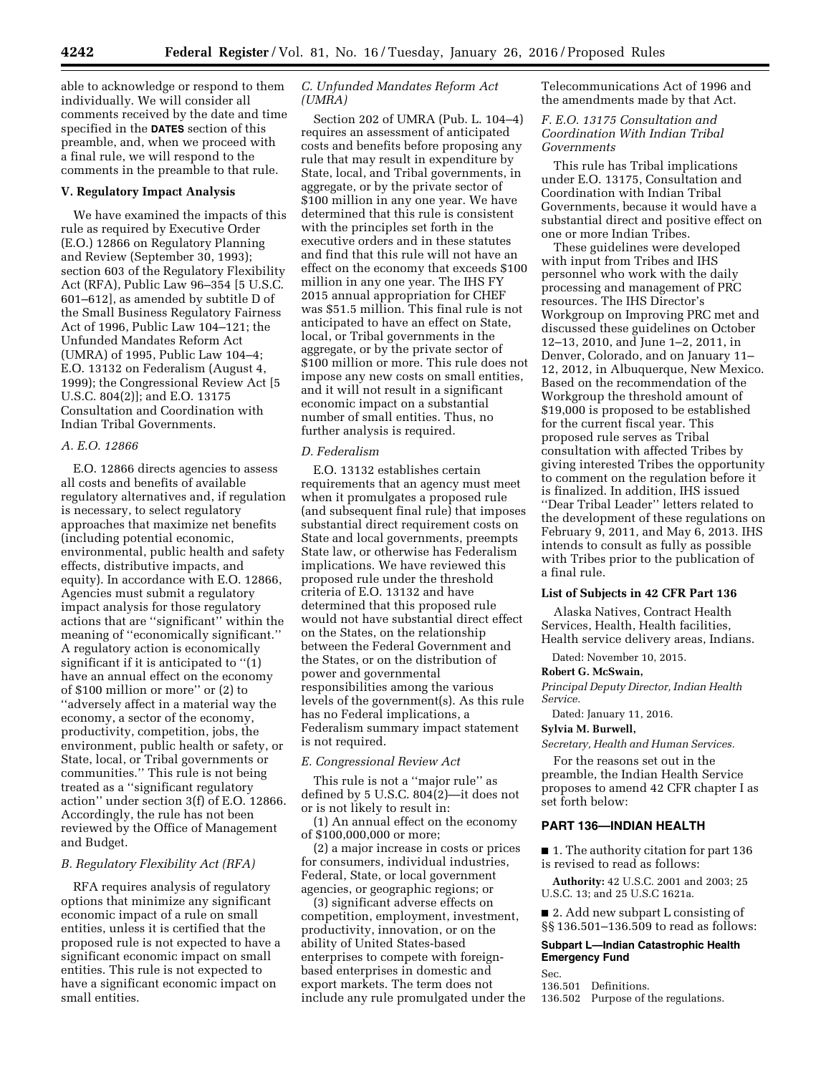able to acknowledge or respond to them individually. We will consider all comments received by the date and time specified in the **DATES** section of this preamble, and, when we proceed with a final rule, we will respond to the comments in the preamble to that rule.

### **V. Regulatory Impact Analysis**

We have examined the impacts of this rule as required by Executive Order (E.O.) 12866 on Regulatory Planning and Review (September 30, 1993); section 603 of the Regulatory Flexibility Act (RFA), Public Law 96–354 [5 U.S.C. 601–612], as amended by subtitle D of the Small Business Regulatory Fairness Act of 1996, Public Law 104–121; the Unfunded Mandates Reform Act (UMRA) of 1995, Public Law 104–4; E.O. 13132 on Federalism (August 4, 1999); the Congressional Review Act [5 U.S.C. 804(2)]; and E.O. 13175 Consultation and Coordination with Indian Tribal Governments.

# *A. E.O. 12866*

E.O. 12866 directs agencies to assess all costs and benefits of available regulatory alternatives and, if regulation is necessary, to select regulatory approaches that maximize net benefits (including potential economic, environmental, public health and safety effects, distributive impacts, and equity). In accordance with E.O. 12866, Agencies must submit a regulatory impact analysis for those regulatory actions that are ''significant'' within the meaning of ''economically significant.'' A regulatory action is economically significant if it is anticipated to ''(1) have an annual effect on the economy of \$100 million or more'' or (2) to ''adversely affect in a material way the economy, a sector of the economy, productivity, competition, jobs, the environment, public health or safety, or State, local, or Tribal governments or communities.'' This rule is not being treated as a ''significant regulatory action'' under section 3(f) of E.O. 12866. Accordingly, the rule has not been reviewed by the Office of Management and Budget.

## *B. Regulatory Flexibility Act (RFA)*

RFA requires analysis of regulatory options that minimize any significant economic impact of a rule on small entities, unless it is certified that the proposed rule is not expected to have a significant economic impact on small entities. This rule is not expected to have a significant economic impact on small entities.

# *C. Unfunded Mandates Reform Act (UMRA)*

Section 202 of UMRA (Pub. L. 104–4) requires an assessment of anticipated costs and benefits before proposing any rule that may result in expenditure by State, local, and Tribal governments, in aggregate, or by the private sector of \$100 million in any one year. We have determined that this rule is consistent with the principles set forth in the executive orders and in these statutes and find that this rule will not have an effect on the economy that exceeds \$100 million in any one year. The IHS FY 2015 annual appropriation for CHEF was \$51.5 million. This final rule is not anticipated to have an effect on State, local, or Tribal governments in the aggregate, or by the private sector of \$100 million or more. This rule does not impose any new costs on small entities, and it will not result in a significant economic impact on a substantial number of small entities. Thus, no further analysis is required.

## *D. Federalism*

E.O. 13132 establishes certain requirements that an agency must meet when it promulgates a proposed rule (and subsequent final rule) that imposes substantial direct requirement costs on State and local governments, preempts State law, or otherwise has Federalism implications. We have reviewed this proposed rule under the threshold criteria of E.O. 13132 and have determined that this proposed rule would not have substantial direct effect on the States, on the relationship between the Federal Government and the States, or on the distribution of power and governmental responsibilities among the various levels of the government(s). As this rule has no Federal implications, a Federalism summary impact statement is not required.

#### *E. Congressional Review Act*

This rule is not a ''major rule'' as defined by 5 U.S.C. 804(2)—it does not or is not likely to result in:

(1) An annual effect on the economy of \$100,000,000 or more;

(2) a major increase in costs or prices for consumers, individual industries, Federal, State, or local government agencies, or geographic regions; or

(3) significant adverse effects on competition, employment, investment, productivity, innovation, or on the ability of United States-based enterprises to compete with foreignbased enterprises in domestic and export markets. The term does not include any rule promulgated under the Telecommunications Act of 1996 and the amendments made by that Act.

# *F. E.O. 13175 Consultation and Coordination With Indian Tribal Governments*

This rule has Tribal implications under E.O. 13175, Consultation and Coordination with Indian Tribal Governments, because it would have a substantial direct and positive effect on one or more Indian Tribes.

These guidelines were developed with input from Tribes and IHS personnel who work with the daily processing and management of PRC resources. The IHS Director's Workgroup on Improving PRC met and discussed these guidelines on October 12–13, 2010, and June 1–2, 2011, in Denver, Colorado, and on January 11– 12, 2012, in Albuquerque, New Mexico. Based on the recommendation of the Workgroup the threshold amount of \$19,000 is proposed to be established for the current fiscal year. This proposed rule serves as Tribal consultation with affected Tribes by giving interested Tribes the opportunity to comment on the regulation before it is finalized. In addition, IHS issued ''Dear Tribal Leader'' letters related to the development of these regulations on February 9, 2011, and May 6, 2013. IHS intends to consult as fully as possible with Tribes prior to the publication of a final rule.

## **List of Subjects in 42 CFR Part 136**

Alaska Natives, Contract Health Services, Health, Health facilities, Health service delivery areas, Indians.

Dated: November 10, 2015.

#### **Robert G. McSwain,**

*Principal Deputy Director, Indian Health Service.* 

Dated: January 11, 2016.

#### **Sylvia M. Burwell,**

*Secretary, Health and Human Services.* 

For the reasons set out in the preamble, the Indian Health Service proposes to amend 42 CFR chapter I as set forth below:

# **PART 136—INDIAN HEALTH**

■ 1. The authority citation for part 136 is revised to read as follows:

**Authority:** 42 U.S.C. 2001 and 2003; 25 U.S.C. 13; and 25 U.S.C 1621a.

■ 2. Add new subpart L consisting of §§ 136.501–136.509 to read as follows:

# **Subpart L—Indian Catastrophic Health Emergency Fund**

Sec.

136.501 Definitions.

136.502 Purpose of the regulations.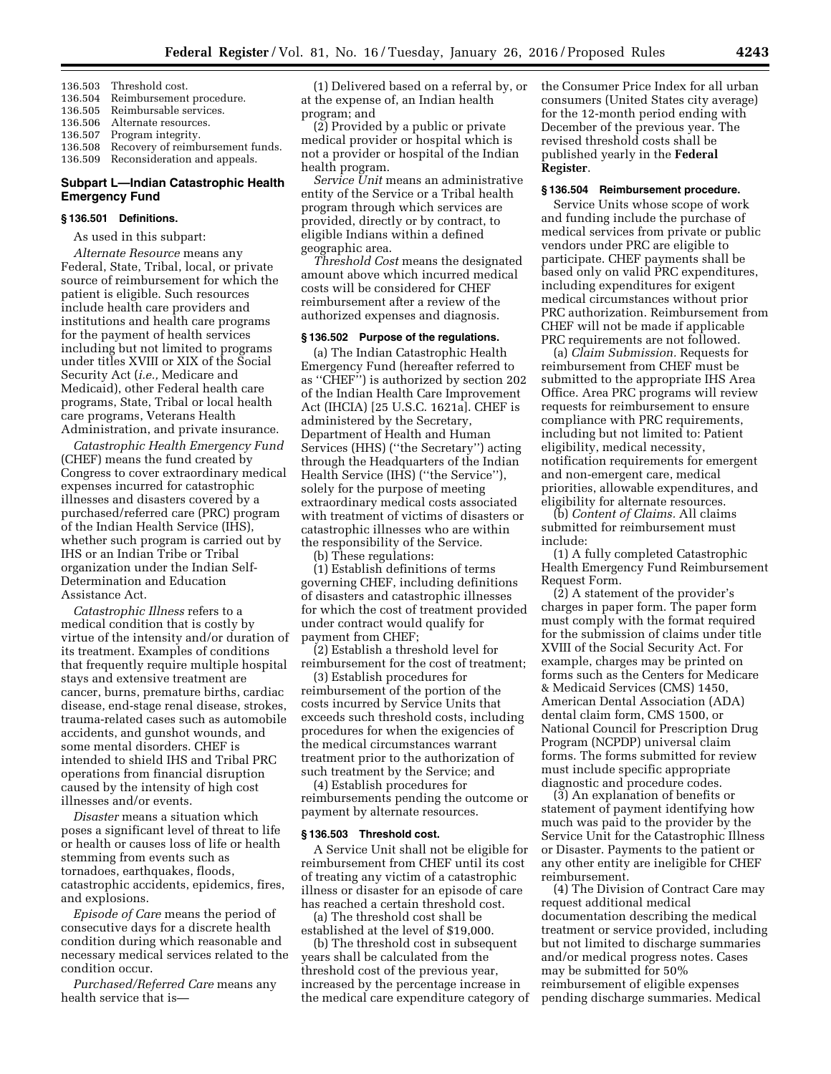- 136.503 Threshold cost.
- 136.504 Reimbursement procedure.
- 136.505 Reimbursable services. 136.506 Alternate resources.
- 

136.507 Program integrity. Recovery of reimbursement funds.

136.509 Reconsideration and appeals.

### **Subpart L—Indian Catastrophic Health Emergency Fund**

# **§ 136.501 Definitions.**

As used in this subpart:

*Alternate Resource* means any Federal, State, Tribal, local, or private source of reimbursement for which the patient is eligible. Such resources include health care providers and institutions and health care programs for the payment of health services including but not limited to programs under titles XVIII or XIX of the Social Security Act (*i.e.,* Medicare and Medicaid), other Federal health care programs, State, Tribal or local health care programs, Veterans Health Administration, and private insurance.

*Catastrophic Health Emergency Fund*  (CHEF) means the fund created by Congress to cover extraordinary medical expenses incurred for catastrophic illnesses and disasters covered by a purchased/referred care (PRC) program of the Indian Health Service (IHS), whether such program is carried out by IHS or an Indian Tribe or Tribal organization under the Indian Self-Determination and Education Assistance Act.

*Catastrophic Illness* refers to a medical condition that is costly by virtue of the intensity and/or duration of its treatment. Examples of conditions that frequently require multiple hospital stays and extensive treatment are cancer, burns, premature births, cardiac disease, end-stage renal disease, strokes, trauma-related cases such as automobile accidents, and gunshot wounds, and some mental disorders. CHEF is intended to shield IHS and Tribal PRC operations from financial disruption caused by the intensity of high cost illnesses and/or events.

*Disaster* means a situation which poses a significant level of threat to life or health or causes loss of life or health stemming from events such as tornadoes, earthquakes, floods, catastrophic accidents, epidemics, fires, and explosions.

*Episode of Care* means the period of consecutive days for a discrete health condition during which reasonable and necessary medical services related to the condition occur.

*Purchased/Referred Care* means any health service that is—

(1) Delivered based on a referral by, or at the expense of, an Indian health program; and

(2) Provided by a public or private medical provider or hospital which is not a provider or hospital of the Indian health program.

*Service Unit* means an administrative entity of the Service or a Tribal health program through which services are provided, directly or by contract, to eligible Indians within a defined geographic area.

*Threshold Cost* means the designated amount above which incurred medical costs will be considered for CHEF reimbursement after a review of the authorized expenses and diagnosis.

#### **§ 136.502 Purpose of the regulations.**

(a) The Indian Catastrophic Health Emergency Fund (hereafter referred to as ''CHEF'') is authorized by section 202 of the Indian Health Care Improvement Act (IHCIA) [25 U.S.C. 1621a]. CHEF is administered by the Secretary, Department of Health and Human Services (HHS) (''the Secretary'') acting through the Headquarters of the Indian Health Service (IHS) (''the Service''), solely for the purpose of meeting extraordinary medical costs associated with treatment of victims of disasters or catastrophic illnesses who are within the responsibility of the Service.

(b) These regulations:

(1) Establish definitions of terms governing CHEF, including definitions of disasters and catastrophic illnesses for which the cost of treatment provided under contract would qualify for payment from CHEF;

(2) Establish a threshold level for reimbursement for the cost of treatment;

(3) Establish procedures for reimbursement of the portion of the costs incurred by Service Units that exceeds such threshold costs, including procedures for when the exigencies of the medical circumstances warrant treatment prior to the authorization of such treatment by the Service; and

(4) Establish procedures for reimbursements pending the outcome or payment by alternate resources.

#### **§ 136.503 Threshold cost.**

A Service Unit shall not be eligible for reimbursement from CHEF until its cost of treating any victim of a catastrophic illness or disaster for an episode of care has reached a certain threshold cost.

(a) The threshold cost shall be established at the level of \$19,000.

(b) The threshold cost in subsequent years shall be calculated from the threshold cost of the previous year, increased by the percentage increase in the medical care expenditure category of the Consumer Price Index for all urban consumers (United States city average) for the 12-month period ending with December of the previous year. The revised threshold costs shall be published yearly in the **Federal Register**.

#### **§ 136.504 Reimbursement procedure.**

Service Units whose scope of work and funding include the purchase of medical services from private or public vendors under PRC are eligible to participate. CHEF payments shall be based only on valid PRC expenditures, including expenditures for exigent medical circumstances without prior PRC authorization. Reimbursement from CHEF will not be made if applicable PRC requirements are not followed.

(a) *Claim Submission.* Requests for reimbursement from CHEF must be submitted to the appropriate IHS Area Office. Area PRC programs will review requests for reimbursement to ensure compliance with PRC requirements, including but not limited to: Patient eligibility, medical necessity, notification requirements for emergent and non-emergent care, medical priorities, allowable expenditures, and eligibility for alternate resources.

(b) *Content of Claims.* All claims submitted for reimbursement must include:

(1) A fully completed Catastrophic Health Emergency Fund Reimbursement Request Form.

(2) A statement of the provider's charges in paper form. The paper form must comply with the format required for the submission of claims under title XVIII of the Social Security Act. For example, charges may be printed on forms such as the Centers for Medicare & Medicaid Services (CMS) 1450, American Dental Association (ADA) dental claim form, CMS 1500, or National Council for Prescription Drug Program (NCPDP) universal claim forms. The forms submitted for review must include specific appropriate diagnostic and procedure codes.

(3) An explanation of benefits or statement of payment identifying how much was paid to the provider by the Service Unit for the Catastrophic Illness or Disaster. Payments to the patient or any other entity are ineligible for CHEF reimbursement.

(4) The Division of Contract Care may request additional medical documentation describing the medical treatment or service provided, including but not limited to discharge summaries and/or medical progress notes. Cases may be submitted for 50% reimbursement of eligible expenses pending discharge summaries. Medical